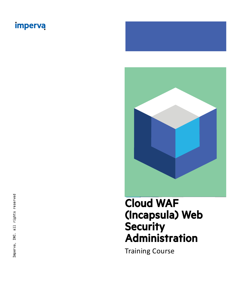

# Cloud WAF (Incapsula) Web **Security** Administration

Training Course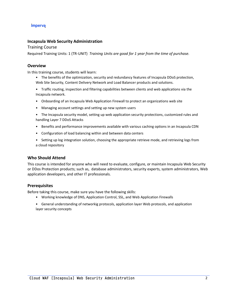# **Incapsula Web Security Administration**

Training Course

Required Training Units: 1 (TR-UNIT) *Training Units are good for 1 year from the time of purchase.*

# **Overview**

In this training course, students will learn:

- The benefits of the optimization, security and redundancy features of Incapsula DDoS protection, Web Site Security, Content Delivery Network and Load Balancer products and solutions.
- Traffic routing, inspection and filtering capabilities between clients and web applications via the Incapsula network.
- Onboarding of an Incapsula Web Application Firewall to protect an organizations web site
- Managing account settings and setting up new system users
- The Incapsula security model, setting up web application security protections, customized rules and handling Layer 7 DDoS Attacks
- Benefits and performance improvements available with various caching options in an Incapsula CDN
- Configuration of load balancing within and between data centers
- Setting up log integration solution, choosing the appropriate retrieve mode, and retrieving logs from a cloud repository

# **Who Should Attend**

This course is intended for anyone who will need to evaluate, configure, or maintain Incapsula Web Security or DDos Protection products; such as, database administrators, security experts, system administrators, Web application developers, and other IT professionals.

# **Prerequisites**

Before taking this course, make sure you have the following skills:

- Working knowledge of DNS, Application Control, SSL, and Web Application Firewalls
- General understanding of networkig protocols, application layer Web protocols, and application layer security concepts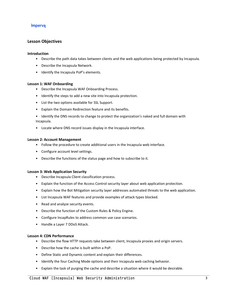# **Lesson Objectives**

#### **Introduction**

- Describe the path data takes between clients and the web applications being protected by Incapsula.
- Describe the Incapsula Network.
- Identify the Incapsula PoP's elements.

#### **Lesson 1: WAF Onboarding**

- Describe the Incapsula WAF Onboarding Process.
- Identify the steps to add a new site into Incapsula protection.
- List the two options available for SSL Support.
- Explain the Domain Redirection feature and its benefits.
- Identify the DNS records to change to protect the organization's naked and full domain with Incapsula.
- Locate where DNS record issues display in the Incapsula interface.

#### **Lesson 2: Account Management**

- Follow the procedure to create additional users in the Incapsula web interface.
- Configure account level settings.
- Describe the functions of the status page and how to subscribe to it.

#### **Lesson 3: Web Application Security**

- Describe Incapsula Client classification process.
- Explain the function of the Access Control security layer about web application protection.
- Explain how the Bot Mitigation security layer addresses automated threats to the web application.
- List Incapsula WAF features and provide examples of attack types blocked.
- Read and analyze security events.
- Describe the function of the Custom Rules & Policy Engine.
- Configure IncapRules to address common use case scenarios.
- Handle a Layer 7 DDoS Attack.

#### **Lesson 4: CDN Performance**

- Describe the flow HTTP requests take between client, Incapsula proxies and origin servers.
- Describe how the cache is built within a PoP.
- Define Static and Dynamic content and explain their differences.
- Identify the four Caching Mode options and their Incapsula web caching behavior.
- Explain the task of purging the cache and describe a situation where it would be desirable.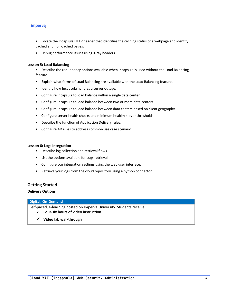- Locate the Incapsula HTTP header that identifies the caching status of a webpage and identify cached and non-cached pages.
- Debug performance issues using X-ray headers.

#### **Lesson 5: Load Balancing**

- Describe the redundancy options available when Incapsula is used without the Load Balancing feature.
- Explain what forms of Load Balancing are available with the Load Balancing feature.
- Identify how Incapsula handles a server outage.
- Configure Incapsula to load balance within a single data center.
- Configure Incapsula to load balance between two or more data centers.
- Configure Incapsula to load balance between data centers based on client geography.
- Configure server health checks and minimum healthy server thresholds.
- Describe the function of Application Delivery rules.
- Configure AD rules to address common use case scenario.

#### **Lesson 6: Logs Integration**

- Describe log collection and retrieval flows.
- List the options available for Logs retrieval.
- Configure Log integration settings using the web user interface.
- Retrieve your logs from the cloud repository using a python connector.

#### **Getting Started**

#### **Delivery Options**

#### **Digital, On-Demand**

Self-paced, e-learning hosted on Imperva University. Students receive:

- ✓ **Four-six hours of video instruction**
- ✓ **Video lab walkthrough**